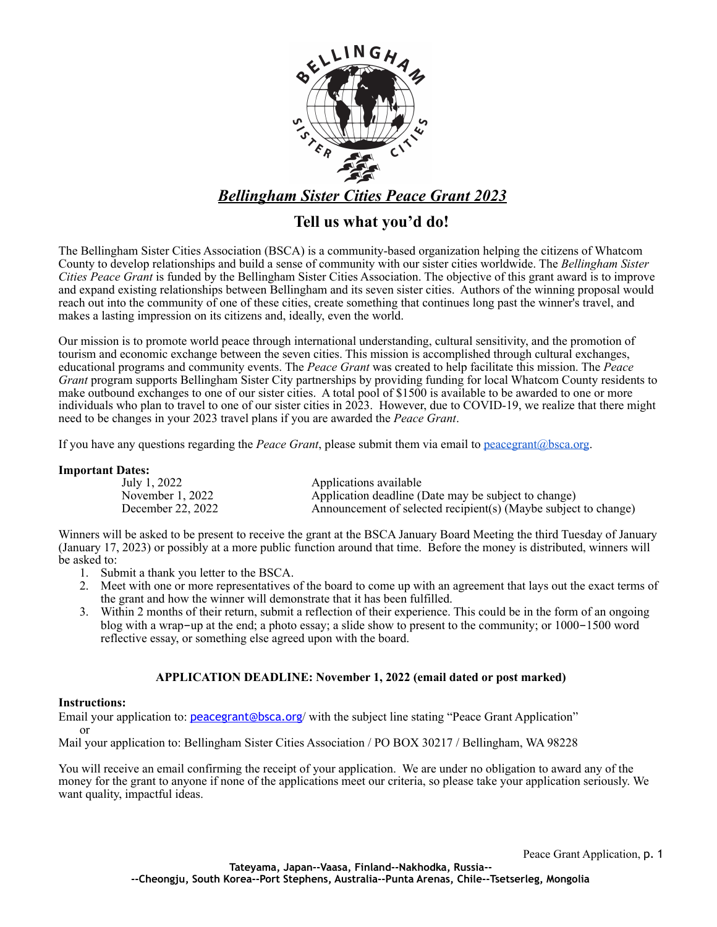

## **Tell us what you'd do!**

The Bellingham Sister Cities Association (BSCA) is a community-based organization helping the citizens of Whatcom County to develop relationships and build a sense of community with our sister cities worldwide. The *Bellingham Sister Cities Peace Grant* is funded by the Bellingham Sister Cities Association. The objective of this grant award is to improve and expand existing relationships between Bellingham and its seven sister cities. Authors of the winning proposal would reach out into the community of one of these cities, create something that continues long past the winner's travel, and makes a lasting impression on its citizens and, ideally, even the world.

Our mission is to promote world peace through international understanding, cultural sensitivity, and the promotion of tourism and economic exchange between the seven cities. This mission is accomplished through cultural exchanges, educational programs and community events. The *Peace Grant* was created to help facilitate this mission. The *Peace Grant* program supports Bellingham Sister City partnerships by providing funding for local Whatcom County residents to make outbound exchanges to one of our sister cities. A total pool of \$1500 is available to be awarded to one or more individuals who plan to travel to one of our sister cities in 2023. However, due to COVID-19, we realize that there might need to be changes in your 2023 travel plans if you are awarded the *Peace Grant*.

If you have any questions regarding the *Peace Grant*, please submit them via email to [peacegrant@bsca.org](mailto:peacegrant@bsca.org).

### **Important Dates:**

| Applications available                                          |
|-----------------------------------------------------------------|
| Application deadline (Date may be subject to change)            |
| Announcement of selected recipient(s) (Maybe subject to change) |
|                                                                 |

Winners will be asked to be present to receive the grant at the BSCA January Board Meeting the third Tuesday of January (January 17, 2023) or possibly at a more public function around that time. Before the money is distributed, winners will be asked to:

- 1. Submit a thank you letter to the BSCA.
- 2. Meet with one or more representatives of the board to come up with an agreement that lays out the exact terms of the grant and how the winner will demonstrate that it has been fulfilled.
- 3. Within 2 months of their return, submit a reflection of their experience. This could be in the form of an ongoing blog with a wrap-up at the end; a photo essay; a slide show to present to the community; or 1000-1500 word reflective essay, or something else agreed upon with the board.

### **APPLICATION DEADLINE: November 1, 2022 (email dated or post marked)**

#### **Instructions:**

Email your application to: [peacegrant@bsca.org](mailto:peacegrant@bsca.org)/ with the subject line stating "Peace Grant Application" or

Mail your application to: Bellingham Sister Cities Association / PO BOX 30217 / Bellingham, WA 98228

You will receive an email confirming the receipt of your application. We are under no obligation to award any of the money for the grant to anyone if none of the applications meet our criteria, so please take your application seriously. We want quality, impactful ideas.